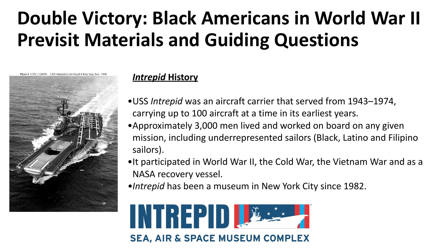# **Double Victory: Black Americans in World War II Previsit Materials and Guiding Questions**



#### *Intrepid* **History**

- •USS *Intrepid* was an aircraft carrier that served from 1943–1974, carrying up to 100 aircraft at a time in its earliest years.
- •Approximately 3,000 men lived and worked on board on any given mission, including underrepresented sailors (Black, Latino and Filipino sailors).
- •It participated in World War II, the Cold War, the Vietnam War and as a NASA recovery vessel.
- *•Intrepid* has been a museum in New York City since 1982.



SEA, AIR & SPACE MUSEUM COMPLEX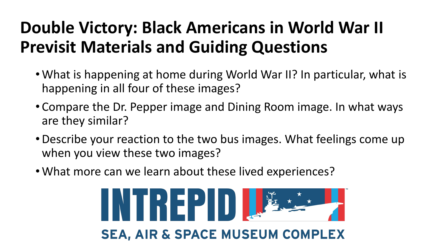### **Double Victory: Black Americans in World War II Previsit Materials and Guiding Questions**

- •What is happening at home during World War II? In particular, what is happening in all four of these images?
- Compare the Dr. Pepper image and Dining Room image. In what ways are they similar?
- Describe your reaction to the two bus images. What feelings come up when you view these two images?
- •What more can we learn about these lived experiences?

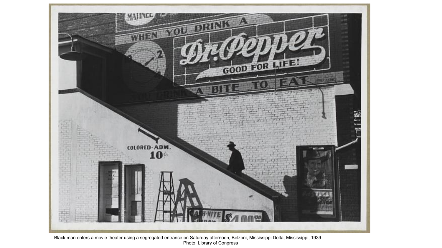

Black man enters a movie theater using a segregated entrance on Saturday afternoon, Belzoni, Mississippi Delta, Mississippi, 1939 Photo: Library of Congress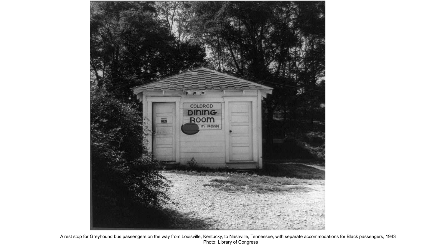

A rest stop for Greyhound bus passengers on the way from Louisville, Kentucky, to Nashville, Tennessee, with separate accommodations for Black passengers, 1943 Photo: Library of Congress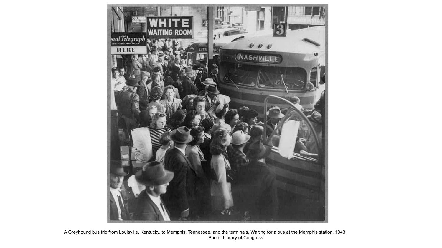

A Greyhound bus trip from Louisville, Kentucky, to Memphis, Tennessee, and the terminals. Waiting for a bus at the Memphis station, 1943 Photo: Library of Congress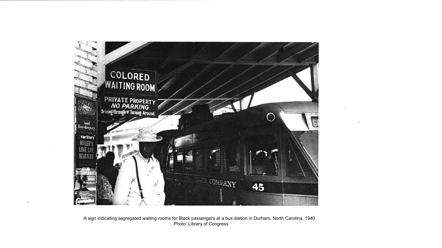

A sign indicating segregated waiting rooms for Black passengers at a bus station in Durham, North Carolina, 1940 Photo: Library of Congress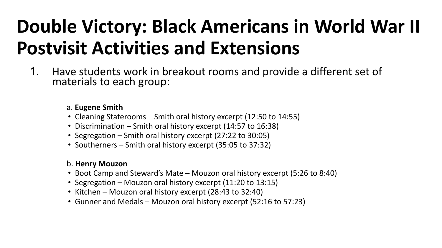# **Double Victory: Black Americans in World War II Postvisit Activities and Extensions**

1. Have students work in breakout rooms and provide a different set of materials to each group:

#### a. **Eugene Smith**

- Cleaning Staterooms Smith oral history excerpt (12:50 to 14:55)
- Discrimination Smith oral history excerpt (14:57 to 16:38)
- Segregation Smith oral history excerpt (27:22 to 30:05)
- Southerners Smith oral history excerpt (35:05 to 37:32)

#### b. **Henry Mouzon**

- Boot Camp and Steward's Mate Mouzon oral history excerpt (5:26 to 8:40)
- Segregation Mouzon oral history excerpt (11:20 to 13:15)
- Kitchen Mouzon oral history excerpt (28:43 to 32:40)
- Gunner and Medals Mouzon oral history excerpt (52:16 to 57:23)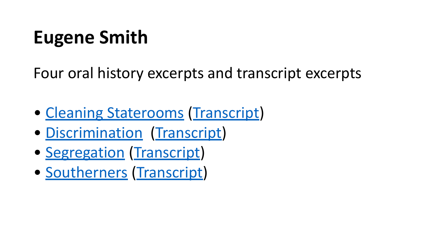# **Eugene Smith**

Four oral history excerpts and transcript excerpts

- [Cleaning Staterooms](https://drive.google.com/file/d/1TM8DARniXERtkG2E1BcK9x1Dnz-ul8YH/view?usp=sharing) [\(Transcript](https://drive.google.com/file/d/193tZDCciXFDU8K7GRJH7js5LeymucflG/view?usp=sharing))
- [Discrimination](https://drive.google.com/file/d/18xZVGtegULeDmUbDnC9ARKlSZnjGezPz/view?usp=sharing) ([Transcript\)](https://drive.google.com/file/d/18EBYFj3oqzvaTgAU6luxZcCDOXU-vaho/view?usp=sharing)
- [Segregation](https://drive.google.com/file/d/13w-Qd232_KCIWuqv_oy9Z4TTUhb0FhX0/view?usp=sharing) ([Transcript\)](https://drive.google.com/file/d/1rKvSRNxGkYiwXKKVIzTYrz0Q1Pz9vv2L/view?usp=sharing)
- [Southerners](https://drive.google.com/file/d/1DpjS8dcXM0CnVBNB4-NUiN5oZ7WjTaiQ/view?usp=sharing) ([Transcript\)](https://drive.google.com/file/d/11PZWxjzZVxmp4cKeHiBEaU-Fvqm0ZMev/view?usp=sharing)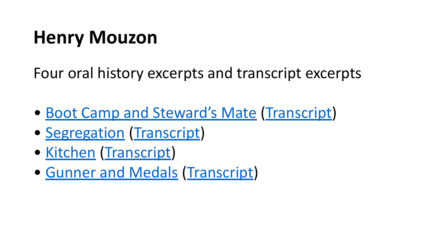## **Henry Mouzon**

Four oral history excerpts and transcript excerpts

- [Boot Camp and Steward's Mate](https://drive.google.com/file/d/1KNjZrAobntZtY9ifAsto7GeYA7CR5xbz/view?usp=sharing) ([Transcript](https://drive.google.com/file/d/1uZFLyJzkJXxqZnaJz5Ke53Xx9UjHIe4H/view?usp=sharing))
- [Segregation](https://drive.google.com/file/d/1bTzDfCeDS9kRepQPj72Ik8Zt-Pk-MBF6/view?usp=sharing) ([Transcript\)](https://drive.google.com/file/d/1nvTnDjaR31weqjgZCVEpHQwmDiDSvOQJ/view?usp=sharing)
- [Kitchen](https://drive.google.com/file/d/1KYBeBJ_0K9aH0XP7uP5whDa9QHmWNg9D/view?usp=sharing) [\(Transcript\)](https://drive.google.com/file/d/11k76nK8qzQRNLmQa2Zwdgg-eyXPIZkq4/view?usp=sharing)
- [Gunner and Medals](https://drive.google.com/file/d/1jLkxfZuVtapDTHSBV_L_7trYn9hB8QpC/view?usp=sharing) [\(Transcript\)](https://drive.google.com/file/d/1OFfkENBBBVJlvaNlURWzTF73rS8TBs70/view?usp=sharing)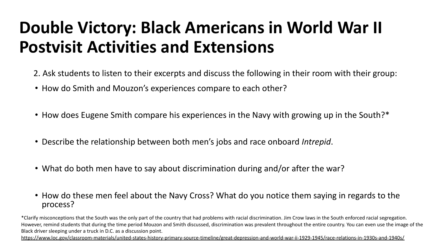### **Double Victory: Black Americans in World War II Postvisit Activities and Extensions**

- 2. Ask students to listen to their excerpts and discuss the following in their room with their group:
- How do Smith and Mouzon's experiences compare to each other?
- How does Eugene Smith compare his experiences in the Navy with growing up in the South?\*
- Describe the relationship between both men's jobs and race onboard *Intrepid*.
- What do both men have to say about discrimination during and/or after the war?
- How do these men feel about the Navy Cross? What do you notice them saying in regards to the process?

\*Clarify misconceptions that the South was the only part of the country that had problems with racial discrimination. Jim Crow laws in the South enforced racial segregation. However, remind students that during the time period Mouzon and Smith discussed, discrimination was prevalent throughout the entire country. You can even use the image of the Black driver sleeping under a truck in D.C. as a discussion point.

<https://www.loc.gov/classroom-materials/united-states-history-primary-source-timeline/great-depression-and-world-war-ii-1929-1945/race-relations-in-1930s-and-1940s/>